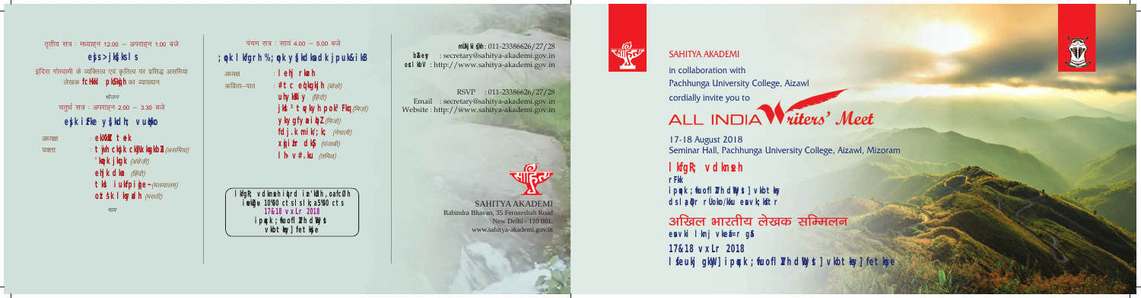**VIEW** 

## SAHITYA AKADEMI

in collaboration with

Pachhunga University College, Aizawl

cordially invite you to

# ALL INDIA *Villers'* Meet

17-18 August 2018 Seminar Hall, Pachhunga University College, Aizawl, Mizoram

# 1 lfgR vdkneh

ipqk; fuofl ZhdW**k**] vlbt-ky dslad: r**Ùoko/ku esavk ktr** 

अखिल भारतीय लेखक सम्मिलन esavki lknj vlefar ga

**17&18 vxLr 2018** l feukj gkW ipqk; fuofl ZhdWkJ vlbt-ky] fet-ke



**rFkk**

**mÙkiskh** : 011-23386626/27/28 **bZey** : secretary@sahitya-akademi.gov.in **osl bV** : http://www.sahitya-akademi.gov.in

पंचम सत्र : सायं 4.00  $-$  5.00 बजे **;qok lkfgrh % ;qok ys[kdksa dk jpuk&ikB**

तृतीय सत्र : मध्याहन 12.00 - अपराहन 1.00 बजे **esjs >jks[ks ls** इंदिरा गोस्वामी के व्यक्तित्व एवं कृतित्व पर प्रसिद्ध असमिया लेखक **fcHkkl pks/k**hका व्याख्यान *भोजन* चतुर्थ सत्र : अपराहन 2.00 - 3.30 बजे **esjk izFke ys[kdh; vuqHko**

**ekX** tek

% **lehj rkarh**

**lkgR; vdkneh i 4rd i zr`kih, oa fcØh iwokZg~u 10%00 cts ls lk;a 5%00 cts 17&18 vxLr 2018** ipqk; fuofl ZhdW<sub>k</sub> **vlbt**-ky] fet-kje

**#tc edghh** (बोडो) **uhyliky** *(हिंदी)* 

 $y$ kygfyai**dz** (*A*ज) **fdj.knik; k***(ause)*  $x$ **ik dk** $y$  *(पंजाबी)*  $\mathbf{h} \mathbf{v}$ #.ku  $\langle \pi P \pi \omega \rangle$ 

 $j$ **k** <sup>3</sup>tqkyh pok<sup>2</sup> Hq( $\theta$ *ati)* 

3*<u>3x* 3*x***<sub>1</sub>**</u>

SAHITYA AKADEMI Rabindra Bhavan, 35 Ferozeshah Road New Delhi - 110 001. www.sahitya-akademi.gov.in



# $\omega$



*pk;*

 $'$ k<sub>g</sub>kjkgk (अंग्रेज़ी) **eljkdla** *(हिंदी)* 

 $t$ jh ckkcWklghZ(*असमिया)* 

 $\mathbf{t}$ k $\mathbf{i}$ **ukhite~**  $\left(\frac{H}{H}\right)$  $\cot$ *skl kyah*  $(4\pi$ *eft*)

 $3FZZZ$ 

वक्ता

कविता $-$ पाठ $\overline{\phantom{a}}$ 

RSVP : 011-23386626/27/28 Email : secretary@sahitya-akademi.gov.in Website : http://www.sahitya-akademi.gov.in